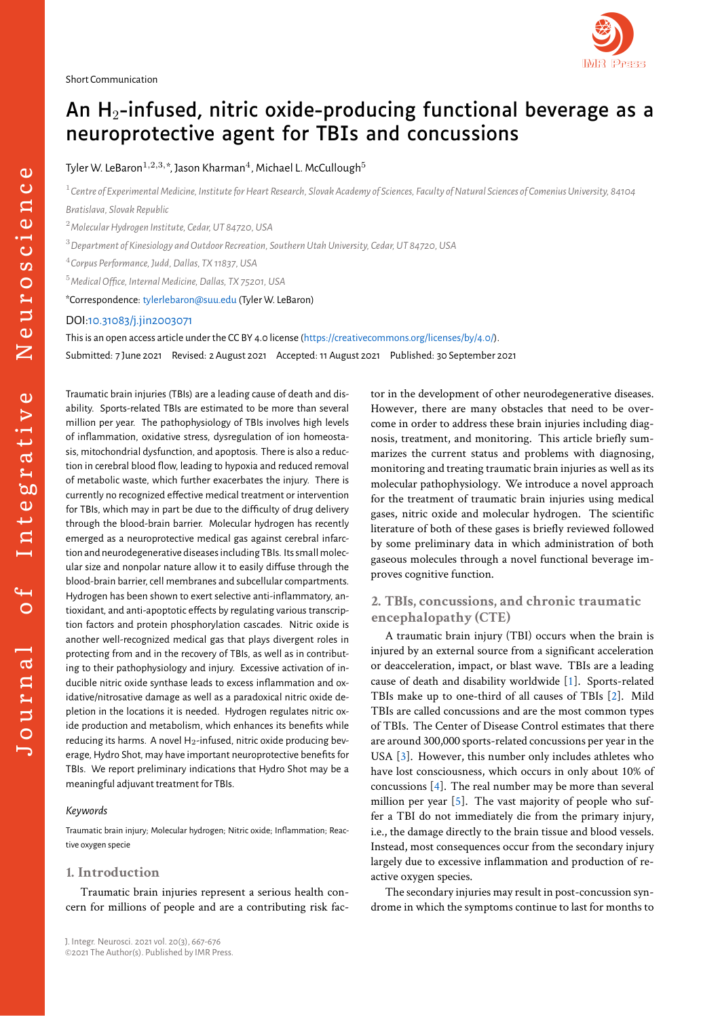# An  $H_2$ -infused, nitric oxide-producing functional beverage as a neuroprotective agent for TBIs and concussions

Tyler W. LeBaron $^{1,2,3,\ast}$ , Jason Kharman $^{4}$ , Michael L. McCullough $^{5}$ 

<sup>1</sup> Centre of Experimental Medicine, Institute for Heart Research, Slovak Academy of Sciences, Faculty of Natural Sciences of Comenius University, 84104 *Bratislava, Slovak Republic*

<sup>2</sup>*Molecular Hydrogen Institute, Cedar, UT 84720, USA*

<sup>3</sup>*Department of Kinesiology and Outdoor Recreation, Southern Utah University, Cedar, UT 84720, USA*

4 *Corpus Performance, Judd, Dallas, TX 11837, USA*

<sup>5</sup>*Medical Office, Internal Medicine, Dallas, TX 75201, USA*

\*Correspondence: tylerlebaron@suu.edu (Tyler W. LeBaron)

## DOI:10.31083/j.jin2003071

This is an open access article under the CC BY 4.0 license (https://creativecommons.org/licenses/by/4.0/). Submitted: 7 June 2021 Revised: 2 August 2021 Accepted: 11 August 2021 Published: 30 September 2021

Trau[matic brain injuries \(TBIs\)](http://doi.org/10.31083/j.jin2003071) are a leading cause of death and disability. Sports-related TBIs are estimated to be more than several million per year. The pathophysiology of TBIs involves high levels of inflammation, oxidative stress, dysregulation of ion homeostasis, mitochondrial dysfunction, and apoptosis. There is also a reduction in cerebral blood flow, leading to hypoxia and reduced removal of metabolic waste, which further exacerbates the injury. There is currently no recognized effective medical treatment or intervention for TBIs, which may in part be due to the difficulty of drug delivery through the blood-brain barrier. Molecular hydrogen has recently emerged as a neuroprotective medical gas against cerebral infarction and neurodegenerative diseases including TBIs. Its small molecular size and nonpolar nature allow it to easily diffuse through the blood-brain barrier, cell membranes and subcellular compartments. Hydrogen has been shown to exert selective anti-inflammatory, antioxidant, and anti-apoptotic effects by regulating various transcription factors and protein phosphorylation cascades. Nitric oxide is another well-recognized medical gas that plays divergent roles in protecting from and in the recovery of TBIs, as well as in contributing to their pathophysiology and injury. Excessive activation of inducible nitric oxide synthase leads to excess inflammation and oxidative/nitrosative damage as well as a paradoxical nitric oxide depletion in the locations it is needed. Hydrogen regulates nitric oxide production and metabolism, which enhances its benefits while reducing its harms. A novel  $H_2$ -infused, nitric oxide producing beverage, Hydro Shot, may have important neuroprotective benefits for TBIs. We report preliminary indications that Hydro Shot may be a meaningful adjuvant treatment for TBIs.

## *Keywords*

Traumatic brain injury; Molecular hydrogen; Nitric oxide; Inflammation; Reactive oxygen specie

## **1. Introduction**

Traumatic brain injuries represent a serious health concern for millions of people and are a contributing risk factor in the development of other neurodegenerative diseases. However, there are many obstacles that need to be overcome in order to address these brain injuries including diagnosis, treatment, and monitoring. This article briefly summarizes the current status and problems with diagnosing, monitoring and treating traumatic brain injuries as well as its molecular pathophysiology. We introduce a novel approach for the treatment of traumatic brain injuries using medical gases, nitric oxide and molecular hydrogen. The scientific literature of both of these gases is briefly reviewed followed by some preliminary data in which administration of both gaseous molecules through a novel functional beverage improves cognitive function.

## **2. TBIs, concussions, and chronic traumatic encephalopathy (CTE)**

A traumatic brain injury (TBI) occurs when the brain is injured by an external source from a significant acceleration or deacceleration, impact, or blast wave. TBIs are a leading cause of death and disability worldwide [1]. Sports-related TBIs make up to one-third of all causes of TBIs [2]. Mild TBIs are called concussions and are the most common types of TBIs. The Center of Disease Control estimates that there are around 300,000 sports-related concuss[io](#page-7-0)ns per year in the USA [3]. However, this number only includes ath[le](#page-7-1)tes who have lost consciousness, which occurs in only about 10% of concussions [4]. The real number may be more than several million per year [5]. The vast majority of people who suffer a [TB](#page-7-2)I do not immediately die from the primary injury, i.e., the damage directly to the brain tissue and blood vessels. Instead, most [c](#page-7-3)onsequences occur from the secondary injury largely due to exc[es](#page-7-4)sive inflammation and production of reactive oxygen species.

The secondary injuries may result in post-concussion syndrome in which the symptoms continue to last for months to

 $\overline{ }$  $\circ$ 

Journal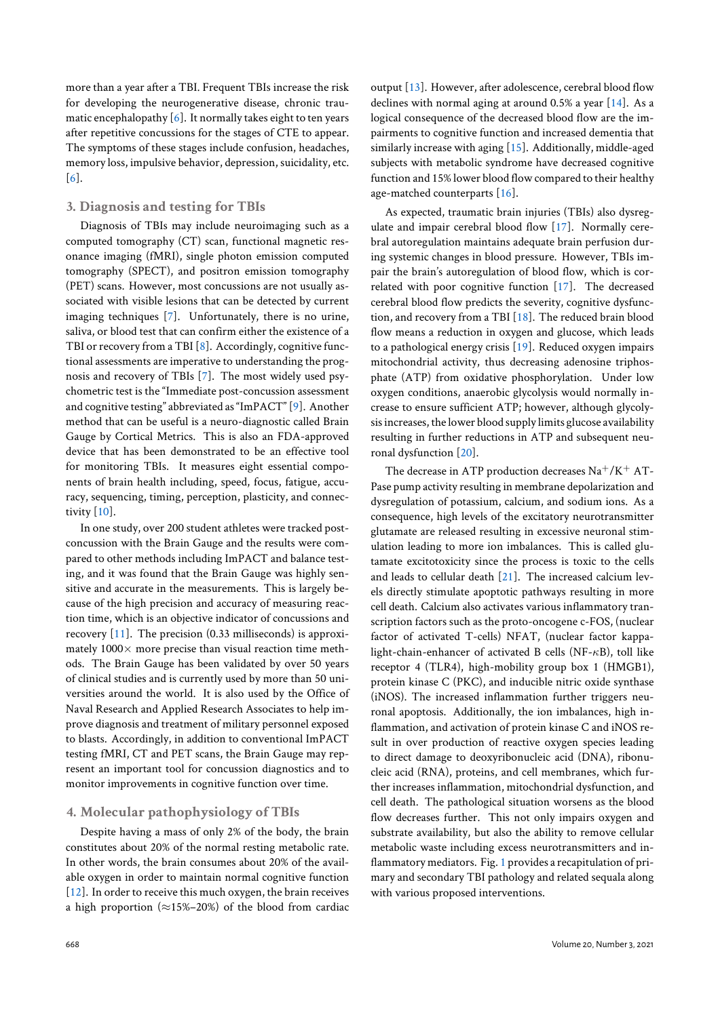more than a year after a TBI. Frequent TBIs increase the risk for developing the neurogenerative disease, chronic traumatic encephalopathy  $[6]$ . It normally takes eight to ten years after repetitive concussions for the stages of CTE to appear. The symptoms of these stages include confusion, headaches, memory loss, impulsiv[e b](#page-7-5)ehavior, depression, suicidality, etc. [6].

## **3. Diagnosis and testing for TBIs**

Diagnosis of TBIs may include neuroimaging such as a [co](#page-7-5)mputed tomography (CT) scan, functional magnetic resonance imaging (fMRI), single photon emission computed tomography (SPECT), and positron emission tomography (PET) scans. However, most concussions are not usually associated with visible lesions that can be detected by current imaging techniques [7]. Unfortunately, there is no urine, saliva, or blood test that can confirm either the existence of a TBI or recovery from a TBI [8]. Accordingly, cognitive functional assessments are imperative to understanding the prognosis and recovery of [T](#page-7-6)BIs [7]. The most widely used psychometric test is the "Immediate post-concussion assessment and cognitive testing" abbre[via](#page-7-7)ted as "ImPACT" [9]. Another method that can be useful is a neuro-diagnostic called Brain Gauge by Cortical Metrics. [T](#page-7-6)his is also an FDA-approved device that has been demonstrated to be an effective tool for monitoring TBIs. It measures eight esse[nti](#page-7-8)al components of brain health including, speed, focus, fatigue, accuracy, sequencing, timing, perception, plasticity, and connectivity [10].

In one study, over 200 student athletes were tracked postconcussion with the Brain Gauge and the results were compared to other methods including ImPACT and balance testing, a[nd i](#page-7-9)t was found that the Brain Gauge was highly sensitive and accurate in the measurements. This is largely because of the high precision and accuracy of measuring reaction time, which is an objective indicator of concussions and recovery [11]. The precision (0.33 milliseconds) is approximately 1000*×* more precise than visual reaction time methods. The Brain Gauge has been validated by over 50 years of clinical studies and is currently used by more than 50 universitiesa[rou](#page-7-10)nd the world. It is also used by the Office of Naval Research and Applied Research Associates to help improve diagnosis and treatment of military personnel exposed to blasts. Accordingly, in addition to conventional ImPACT testing fMRI, CT and PET scans, the Brain Gauge may represent an important tool for concussion diagnostics and to monitor improvements in cognitive function over time.

## **4. Molecular pathophysiology of TBIs**

Despite having a mass of only 2% of the body, the brain constitutes about 20% of the normal resting metabolic rate. In other words, the brain consumes about 20% of the available oxygen in order to maintain normal cognitive function [12]. In order to receive this much oxygen, the brain receives a high proportion (*≈*15%–20%) of the blood from cardiac output [13]. However, after adolescence, cerebral blood flow declines with normal aging at around 0.5% a year [14]. As a logical consequence of the decreased blood flow are the impairments to cognitive function and increased dementia that similarl[y in](#page-7-12)crease with aging [15]. Additionally, middle-aged subjects with metabolic syndrome have decreased [cog](#page-7-13)nitive function and 15% lower blood flow compared to their healthy age-matched counterparts [16].

As expected, traumatic br[ain](#page-7-14) injuries (TBIs) also dysregulate and impair cerebral blood flow [17]. Normally cerebral autoregulation maintains adequate brain perfusion during systemic changes in blo[od](#page-7-15) pressure. However, TBIs impair the brain's autoregulation of blood flow, which is correlated with poor cognitive function [\[17](#page-7-16)]. The decreased cerebral blood flow predicts the severity, cognitive dysfunction, and recovery from a TBI [18]. The reduced brain blood flow means a reduction in oxygen and glucose, which leads to a pathological energy crisis [19]. Re[duce](#page-7-16)d oxygen impairs mitochondrial activity, thus decreasing adenosine triphosphate (ATP) from oxidative [pho](#page-7-17)sphorylation. Under low oxygen conditions, anaerobic glycolysis would normally increase to ensure sufficient AT[P; h](#page-7-18)owever, although glycolysis increases, the lower blood supply limits glucose availability resulting in further reductions in ATP and subsequent neuronal dysfunction [20].

The decrease in ATP production decreases  $Na^+/K^+$  AT-Pase pump activity resulting in membrane depolarization and dysregulation of potassium, calcium, and sodium ions. As a consequence, high [lev](#page-7-19)els of the excitatory neurotransmitter glutamate are released resulting in excessive neuronal stimulation leading to more ion imbalances. This is called glutamate excitotoxicity since the process is toxic to the cells and leads to cellular death [21]. The increased calcium levels directly stimulate apoptotic pathways resulting in more cell death. Calcium also activates various inflammatory transcription factors such as the proto-oncogene c-FOS, (nuclear factor of activated T-cells) [N](#page-8-0)FAT, (nuclear factor kappalight-chain-enhancer of activated B cells (NF-*κ*B), toll like receptor 4 (TLR4), high-mobility group box 1 (HMGB1), protein kinase C (PKC), and inducible nitric oxide synthase (iNOS). The increased inflammation further triggers neuronal apoptosis. Additionally, the ion imbalances, high inflammation, and activation of protein kinase C and iNOS result in over production of reactive oxygen species leading to direct damage to deoxyribonucleic acid (DNA), ribonucleic acid (RNA), proteins, and cell membranes, which further increases inflammation, mitochondrial dysfunction, and cell death. The pathological situation worsens as the blood flow decreases further. This not only impairs oxygen and substrate availability, but also the ability to remove cellular metabolic waste including excess neurotransmitters and inflammatory mediators. Fig. 1 provides a recapitulation of primary and secondary TBI pathology and related sequala along with various proposed interventions.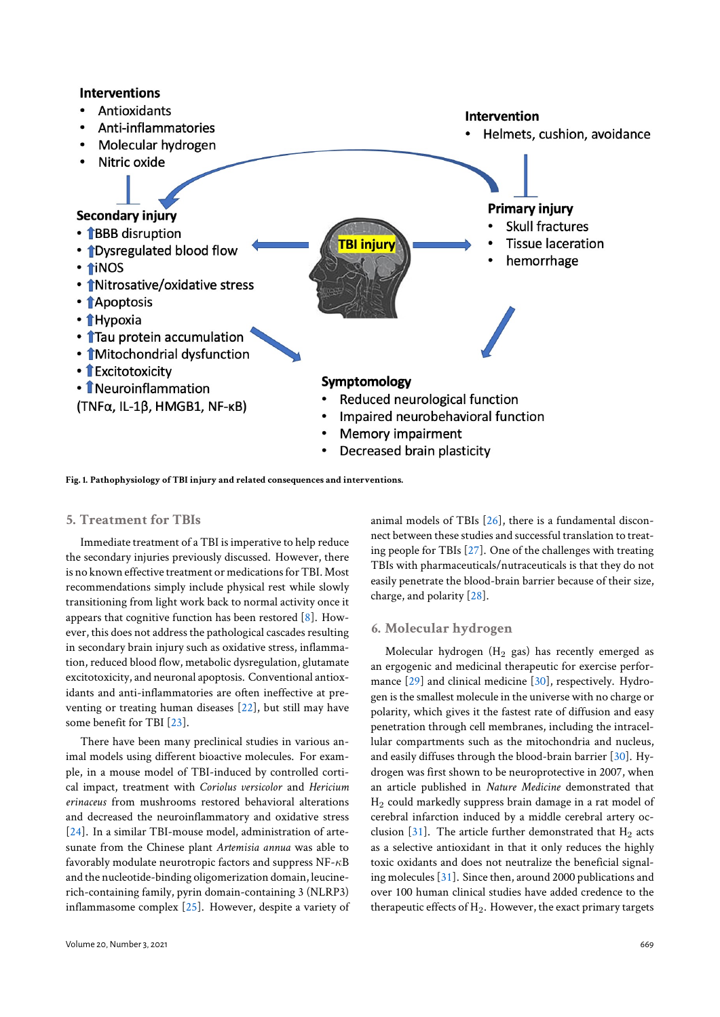## **Interventions**

- Antioxidants
- Anti-inflammatories
- Molecular hydrogen

#### **Intervention**

Helmets, cushion, avoidance



**Fig. 1. Pathophysiology of TBI injury and related consequences and interventions.**

#### **5. Treatment for TBIs**

Immediate treatment of a TBI is imperative to help reduce the secondary injuries previously discussed. However, there is no known effective treatment or medications for TBI. Most recommendations simply include physical rest while slowly transitioning from light work back to normal activity once it appears that cognitive function has been restored [8]. However, this does not address the pathological cascades resulting in secondary brain injury such as oxidative stress, inflammation, reduced blood flow, metabolic dysregulation, glutamate excitotoxicity, and neuronal apoptosis. Conventio[nal](#page-7-7) antioxidants and anti-inflammatories are often ineffective at preventing or treating human diseases [22], but still may have some benefit for TBI [23].

There have been many preclinical studies in various animal models using different bioactive molecules. For example, in a mouse model of TBI-induc[ed](#page-8-1) by controlled cortical impact, treatment [wi](#page-8-2)th *Coriolus versicolor* and *Hericium erinaceus* from mushrooms restored behavioral alterations and decreased the neuroinflammatory and oxidative stress [24]. In a similar TBI-mouse model, administration of artesunate from the Chinese plant *Artemisia annua* was able to favorably modulate neurotropic factors and suppress NF-*κ*B and the nucleotide-binding oligomerization domain, leucine[rich](#page-8-3)-containing family, pyrin domain-containing 3 (NLRP3) inflammasome complex [25]. However, despite a variety of animal models of TBIs [26], there is a fundamental disconnect between these studies and successful translation to treating people for TBIs [27]. One of the challenges with treating TBIs with pharmaceuticals/nutraceuticals is that they do not easily penetrate the bloo[d-b](#page-8-4)rain barrier because of their size, charge, and polarity [\[28](#page-8-5)].

## **6. Molecular hydrogen**

Molecular hydro[gen](#page-8-6)  $(H<sub>2</sub>$  gas) has recently emerged as an ergogenic and medicinal therapeutic for exercise performance [29] and clinical medicine [30], respectively. Hydrogen is the smallest molecule in the universe with no charge or polarity, which gives it the fastest rate of diffusion and easy penetration through cell membranes, including the intracellular co[mp](#page-8-7)artments such as the [mito](#page-8-8)chondria and nucleus, and easily diffuses through the blood-brain barrier [30]. Hydrogen was first shown to be neuroprotective in 2007, when an article published in *Nature Medicine* demonstrated that  $H<sub>2</sub>$  could markedly suppress brain damage in a rat model of cerebral infarction induced by a middle cerebral a[rter](#page-8-8)y occlusion [31]. The article further demonstrated that  $H_2$  acts as a selective antioxidant in that it only reduces the highly toxic oxidants and does not neutralize the beneficial signaling molecules [31]. Since then, around 2000 publications and over 10[0 hu](#page-8-9)man clinical studies have added credence to the therapeutic effects of  $H_2$ . However, the exact primary targets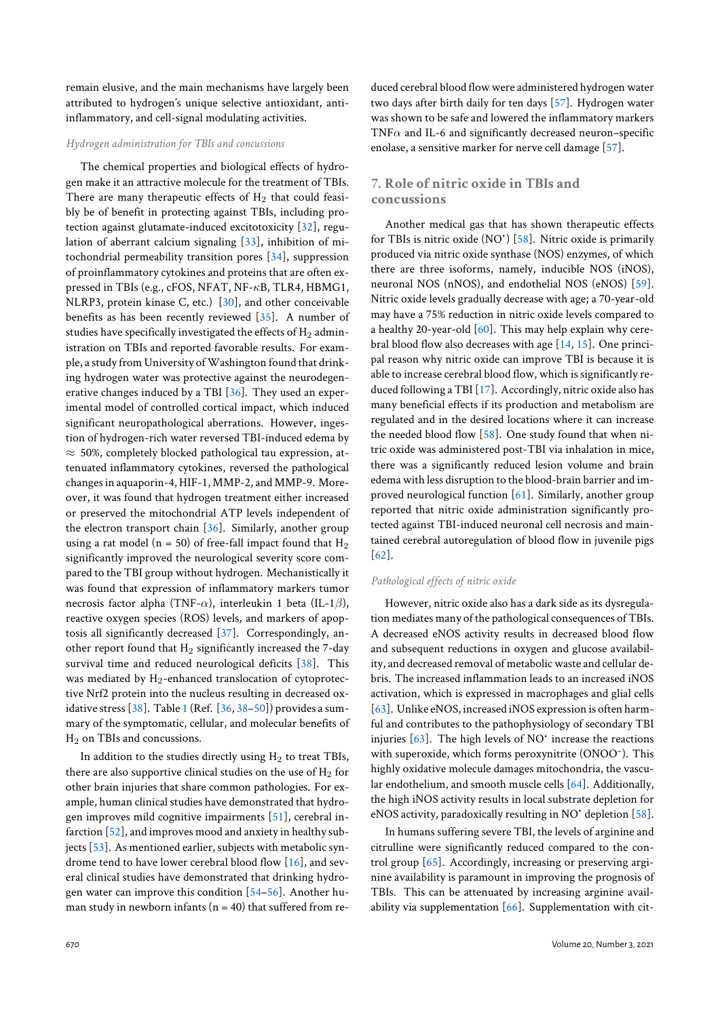remain elusive, and the main mechanisms have largely been attributed to hydrogen's unique selective antioxidant, antiinflammatory, and cell-signal modulating activities.

#### *Hydrogen administration for TBIs and concussions*

The chemical properties and biological effects of hydrogen make it an attractive molecule for the treatment of TBIs. There are many therapeutic effects of  $H_2$  that could feasibly be of benefit in protecting against TBIs, including protection against glutamate-induced excitotoxicity [32], regulation of aberrant calcium signaling [33], inhibition of mitochondrial permeability transition pores [34], suppression of proinflammatory cytokines and proteins that are often expressed in TBIs (e.g., cFOS, NFAT, NF-*κ*B, TLR4[, H](#page-8-10)BMG1, NLRP3, protein kinase C, etc.) [30], [and](#page-8-11) other conceivable benefits as has been recently reviewed [3[5\].](#page-8-12) A number of studies have specifically investigated the effects of  $H_2$  administration on TBIs and reported favorable results. For example, a study from University of W[ash](#page-8-8)ington found that drinking hydrogen water was protective again[st t](#page-8-13)he neurodegenerative changes induced by a TBI [36]. They used an experimental model of controlled cortical impact, which induced significant neuropathological aberrations. However, ingestion of hydrogen-rich water reversed TBI-induced edema by *≈* 50%, completely blocked patho[log](#page-8-14)ical tau expression, attenuated inflammatory cytokines, reversed the pathological changes in aquaporin-4, HIF-1, MMP-2, and MMP-9. Moreover, it was found that hydrogen treatment either increased or preserved the mitochondrial ATP levels independent of the electron transport chain  $[36]$ . Similarly, another group using a rat model ( $n = 50$ ) of free-fall impact found that  $H_2$ significantly improved the neurological severity score compared to the TBI group without hydrogen. Mechanistically it was found that expression of [inf](#page-8-14)lammatory markers tumor necrosis factor alpha (TNF-*α*), interleukin 1 beta (IL-1*β*), reactive oxygen species (ROS) levels, and markers of apoptosis all significantly decreased [37]. Correspondingly, another report found that  $H_2$  significantly increased the 7-day survival time and reduced neurological deficits [38]. This was mediated by  $H_2$ -enhanced translocation of cytoprotective Nrf2 protein into the nucleu[s r](#page-8-15)esulting in decreased oxidative stress [38]. Table 1 (Ref. [36, 38–50]) provides a summary of the symptomatic, cellular, and molecular [ben](#page-8-16)efits of H<sub>2</sub> on TBIs and concussions.

In addition to the studies directly using  $H_2$  to treat TBIs, there are also [sup](#page-8-16)portive [c](#page-4-0)linical [stu](#page-8-14)[die](#page-8-16)s [on](#page-8-17) the use of  $H_2$  for other brain injuries that share common pathologies. For example, human clinical studies have demonstrated that hydrogen improves mild cognitive impairments [51], cerebral infarction [52], and improves mood and anxiety in healthy subjects [53]. As mentioned earlier, subjects with metabolic syndrome tend to have lower cerebral blood flow [16], and several clinical studies have demonstrated that [dri](#page-8-18)nking hydrogen wate[r ca](#page-8-19)n improve this condition [54–56]. Another human [stud](#page-8-20)y in newborn infants ( $n = 40$ ) that suff[ere](#page-7-15)d from reduced cerebral blood flow were administered hydrogen water two days after birth daily for ten days [57]. Hydrogen water was shown to be safe and lowered the inflammatory markers TNF*α* and IL-6 and significantly decreased neuron–specific enolase, a sensitive marker for nerve c[ell d](#page-9-0)amage [57].

## **7. Role of nitric oxide in TBIs and concussions**

Another medical gas that has shown therapeutic effects for TBIs is nitric oxide (NO<sup>•</sup>) [58]. Nitric oxide is primarily produced via nitric oxide synthase (NOS) enzymes, of which there are three isoforms, namely, inducible NOS (iNOS), neuronal NOS (nNOS), and endothelial NOS (eNOS) [59]. Nitric oxide levels gradually de[cre](#page-9-1)ase with age; a 70-year-old may have a 75% reduction in nitric oxide levels compared to a healthy 20-year-old  $[60]$ . This may help explain why cerebral blood flow also decreases with age [14, 15]. One pri[nci](#page-9-2)pal reason why nitric oxide can improve TBI is because it is able to increase cerebral blood flow, which is significantly reduced following a TBI [\[17](#page-9-3)]. Accordingly, nitric oxide also has many beneficial effects if its production [an](#page-7-13)[d m](#page-7-14)etabolism are regulated and in the desired locations where it can increase the needed blood flow [58]. One study found that when nitric oxide was adminis[tere](#page-7-16)d post-TBI via inhalation in mice, there was a significantly reduced lesion volume and brain edema with less disruption to the blood-brain barrier and improved neurological fu[ncti](#page-9-1)on [61]. Similarly, another group reported that nitric oxide administration significantly protected against TBI-induced neuronal cell necrosis and maintained cerebral autoregulation [of](#page-9-4) blood flow in juvenile pigs [62].

#### *Pathological effects of nitric oxide*

However, nitric oxide also has a dark side as its dysregulat[ion](#page-9-5) mediates many of the pathological consequences of TBIs. A decreased eNOS activity results in decreased blood flow and subsequent reductions in oxygen and glucose availability, and decreased removal of metabolic waste and cellular debris. The increased inflammation leads to an increased iNOS activation, which is expressed in macrophages and glial cells [63]. Unlike eNOS, increased iNOS expression is often harmful and contributes to the pathophysiology of secondary TBI injuries [63]. The high levels of NO<sup>•</sup> increase the reactions with superoxide, which forms peroxynitrite (ONOO– ). This [high](#page-9-6)ly oxidative molecule damages mitochondria, the vascular endothelium, and smooth muscle cells [64]. Additionally, the high [iNO](#page-9-6)S activity results in local substrate depletion for eNOS activity, paradoxically resulting in NO<sup>•</sup> depletion [58].

In humans suffering severe TBI, the levels of arginine and citrulline were significantly reduced com[par](#page-9-7)ed to the control group [65]. Accordingly, increasing or preserving arginine availability is paramount in improving the prognos[is o](#page-9-1)f TBIs. This can be attenuated by increasing arginine availability via s[upp](#page-9-8)lementation [66]. Supplementation with cit-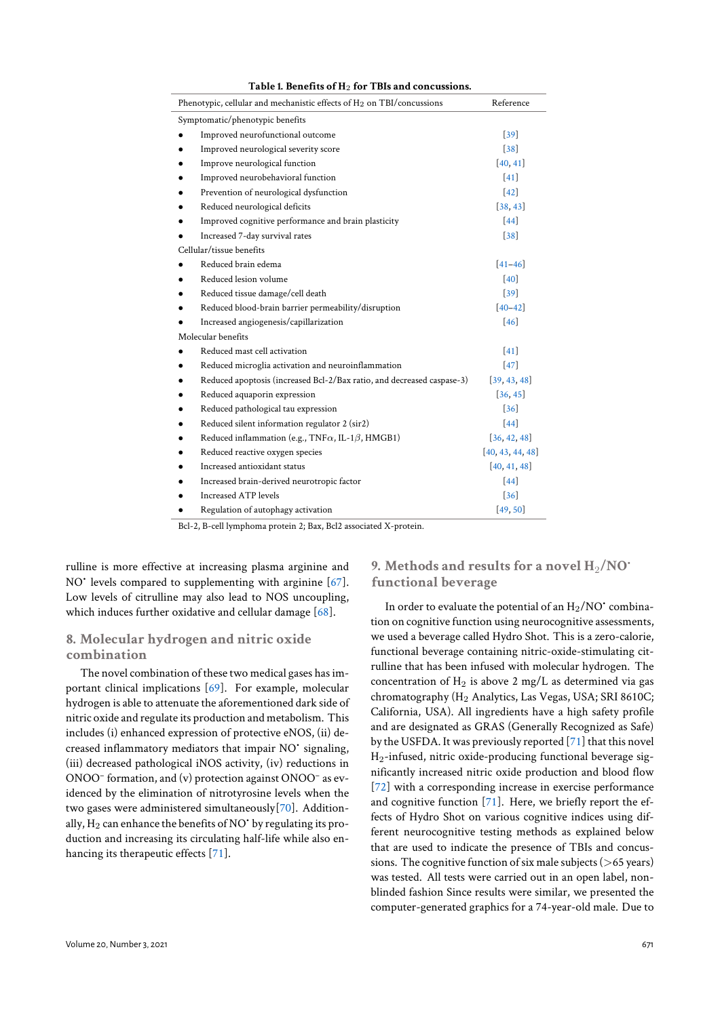<span id="page-4-0"></span>

| Phenotypic, cellular and mechanistic effects of $H_2$ on TBI/concussions | Reference        |
|--------------------------------------------------------------------------|------------------|
| Symptomatic/phenotypic benefits                                          |                  |
| Improved neurofunctional outcome                                         | $[39]$           |
| Improved neurological severity score                                     | $[38]$           |
| Improve neurological function                                            | [40, 41]         |
| Improved neurobehavioral function                                        | $[41]$           |
| Prevention of neurological dysfunction                                   | $[42]$           |
| Reduced neurological deficits                                            | [38, 43]         |
| Improved cognitive performance and brain plasticity                      | $[44]$           |
| Increased 7-day survival rates                                           | $[38]$           |
| Cellular/tissue benefits                                                 |                  |
| Reduced brain edema                                                      | $[41 - 46]$      |
| Reduced lesion volume                                                    | [40]             |
| Reduced tissue damage/cell death                                         | $[39]$           |
| Reduced blood-brain barrier permeability/disruption                      | $[40 - 42]$      |
| Increased angiogenesis/capillarization                                   | [46]             |
| Molecular benefits                                                       |                  |
| Reduced mast cell activation                                             | $[41]$           |
| Reduced microglia activation and neuroinflammation                       | $[47]$           |
| Reduced apoptosis (increased Bcl-2/Bax ratio, and decreased caspase-3)   | [39, 43, 48]     |
| Reduced aquaporin expression                                             | [36, 45]         |
| Reduced pathological tau expression                                      | $[36]$           |
| Reduced silent information regulator 2 (sir2)<br>٠                       | $[44]$           |
| Reduced inflammation (e.g., TNF $\alpha$ , IL-1 $\beta$ , HMGB1)<br>٠    | [36, 42, 48]     |
| Reduced reactive oxygen species<br>٠                                     | [40, 43, 44, 48] |
| Increased antioxidant status                                             | [40, 41, 48]     |
| Increased brain-derived neurotropic factor                               | $[44]$           |
| <b>Increased ATP levels</b>                                              | $[36]$           |
| Regulation of autophagy activation                                       | [49, 50]         |

**Table 1. Benefits of H**<sup>2</sup> **for TBIs and concussions.**

Bcl-2, B-cell lymphoma protein 2; Bax, Bcl2 associated X-protein.

rulline is more effective at increasing plasma arginine and NO<sup>•</sup> levels compared to supplementing with arginine [67]. Low levels of citrulline may also lead to NOS uncoupling, which induces further oxidative and cellular damage [68].

## **8. Molecular hydrogen and nitric oxide combination**

The novel combination of these two medical gases [has](#page-9-9) important clinical implications [69]. For example, molecular hydrogen is able to attenuate the aforementioned dark side of nitric oxide and regulate its production and metabolism. This includes (i) enhanced expression of protective eNOS, (ii) decreased inflammatory mediat[ors](#page-9-10) that impair NO• signaling, (iii) decreased pathological iNOS activity, (iv) reductions in ONOO– formation, and (v) protection against ONOO– as evidenced by the elimination of nitrotyrosine levels when the two gases were administered simultaneously[70]. Additionally,  $H_2$  can enhance the benefits of NO $\cdot$  by regulating its production and increasing its circulating half-life while also enhancing its therapeutic effects [71].

## **9. Methods and resu[lts](#page-8-31) [fo](#page-8-17)r a novel**  $H_2/NO^*$ **functional beverage**

In order to evaluate the potential of an  $\rm H_2/NO^*$  combination on cognitive function using neurocognitive assessments, we used a beverage called Hydro Shot. This is a zero-calorie, functional beverage containing nitric-oxide-stimulating citrulline that has been infused with molecular hydrogen. The concentration of  $H_2$  is above 2 mg/L as determined via gas chromatography (H<sub>2</sub> Analytics, Las Vegas, USA; SRI 8610C; California, USA). All ingredients have a high safety profile and are designated as GRAS (Generally Recognized as Safe) by the USFDA. It was previously reported [71] that this novel H2-infused, nitric oxide-producing functional beverage significantly increased nitric oxide production and blood flow [72] with a corresponding increase in exercise performance and cognitive function [71]. Here, we bri[efly](#page-9-11) report the effects of Hydro Shot on various cognitive indices using different neurocognitive testing methods as explained below t[hat](#page-9-12) are used to indicate the presence of TBIs and concussions. The cognitive fun[ctio](#page-9-11)n of six male subjects (*>*65 years) was tested. All tests were carried out in an open label, nonblinded fashion Since results were similar, we presented the computer-generated graphics for a 74-year-old male. Due to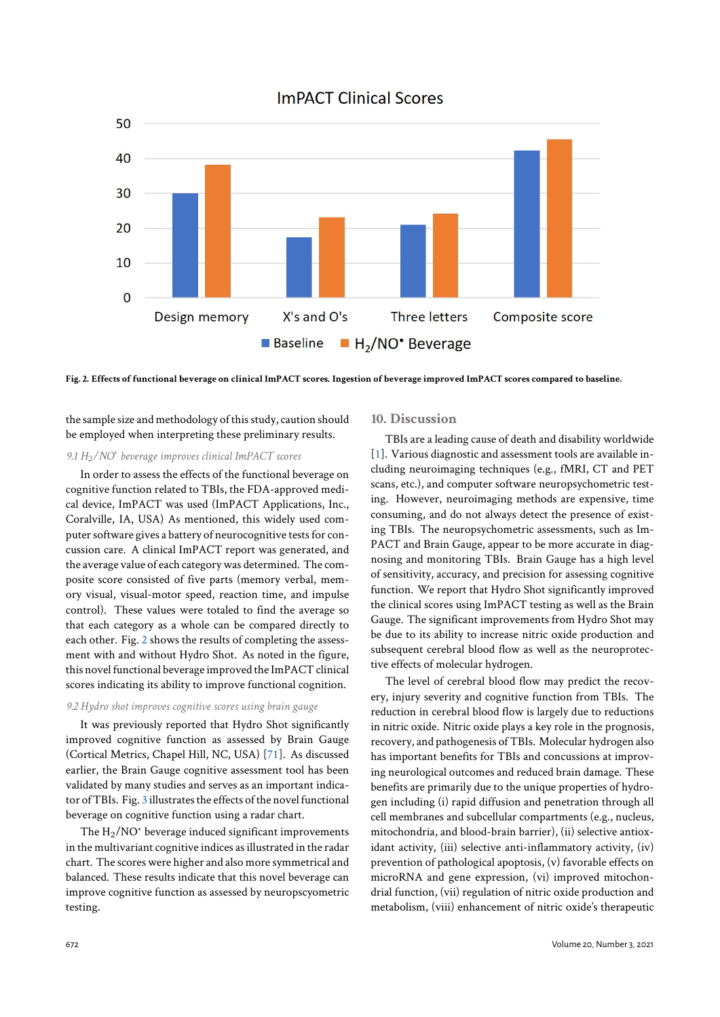## **ImPACT Clinical Scores**

<span id="page-5-0"></span>

**Fig. 2. Effects of functional beverage on clinical ImPACT scores. Ingestion of beverage improved ImPACT scores compared to baseline.**

the sample size and methodology of this study, caution should be employed when interpreting these preliminary results.

## *9.1 H*2*/NO*• *beverage improves clinical ImPACT scores*

In order to assess the effects of the functional beverage on cognitive function related to TBIs, the FDA-approved medical device, ImPACT was used (ImPACT Applications, Inc., Coralville, IA, USA) As mentioned, this widely used computer software gives a battery of neurocognitive tests for concussion care. A clinical ImPACT report was generated, and the average value of each category was determined. The composite score consisted of five parts (memory verbal, memory visual, visual-motor speed, reaction time, and impulse control). These values were totaled to find the average so that each category as a whole can be compared directly to each other. Fig. 2 shows the results of completing the assessment with and without Hydro Shot. As noted in the figure, this novel functional beverage improved the ImPACT clinical scores indicating its ability to improve functional cognition.

#### *9.2 Hydro shot i[mp](#page-5-0)roves cognitive scores using brain gauge*

It was previously reported that Hydro Shot significantly improved cognitive function as assessed by Brain Gauge (Cortical Metrics, Chapel Hill, NC, USA) [71]. As discussed earlier, the Brain Gauge cognitive assessment tool has been validated by many studies and serves as an important indicator of TBIs. Fig. 3 illustrates the effects of the novel functional beverage on cognitive function using a rad[ar c](#page-9-11)hart.

The  $H_2/NO$  beverage induced significant improvements in the multivariant cognitive indices as illustrated in the radar chart. The scor[es](#page-6-0) were higher and also more symmetrical and balanced. These results indicate that this novel beverage can improve cognitive function as assessed by neuropscyometric testing.

#### **10. Discussion**

TBIs are a leading cause of death and disability worldwide [1]. Various diagnostic and assessment tools are available including neuroimaging techniques (e.g., fMRI, CT and PET scans, etc.), and computer software neuropsychometric testing. However, neuroimaging methods are expensive, time [co](#page-7-0)nsuming, and do not always detect the presence of existing TBIs. The neuropsychometric assessments, such as Im-PACT and Brain Gauge, appear to be more accurate in diagnosing and monitoring TBIs. Brain Gauge has a high level of sensitivity, accuracy, and precision for assessing cognitive function. We report that Hydro Shot significantly improved the clinical scores using ImPACT testing as well as the Brain Gauge. The significant improvements from Hydro Shot may be due to its ability to increase nitric oxide production and subsequent cerebral blood flow as well as the neuroprotective effects of molecular hydrogen.

The level of cerebral blood flow may predict the recovery, injury severity and cognitive function from TBIs. The reduction in cerebral blood flow is largely due to reductions in nitric oxide. Nitric oxide plays a key role in the prognosis, recovery, and pathogenesis of TBIs. Molecular hydrogen also has important benefits for TBIs and concussions at improving neurological outcomes and reduced brain damage. These benefits are primarily due to the unique properties of hydrogen including (i) rapid diffusion and penetration through all cell membranes and subcellular compartments (e.g., nucleus, mitochondria, and blood-brain barrier), (ii) selective antioxidant activity, (iii) selective anti-inflammatory activity, (iv) prevention of pathological apoptosis, (v) favorable effects on microRNA and gene expression, (vi) improved mitochondrial function, (vii) regulation of nitric oxide production and metabolism, (viii) enhancement of nitric oxide's therapeutic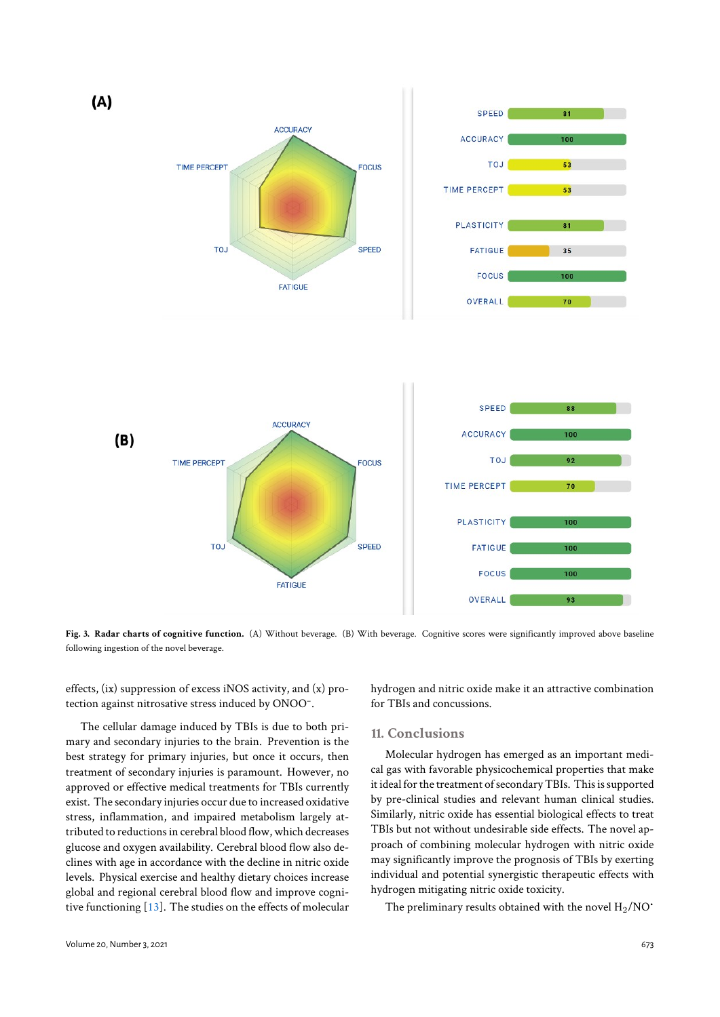<span id="page-6-0"></span>

Fig. 3. Radar charts of cognitive function. (A) Without beverage. (B) With beverage. Cognitive scores were significantly improved above baseline following ingestion of the novel beverage.

effects, (ix) suppression of excess iNOS activity, and (x) protection against nitrosative stress induced by ONOO– .

The cellular damage induced by TBIs is due to both primary and secondary injuries to the brain. Prevention is the best strategy for primary injuries, but once it occurs, then treatment of secondary injuries is paramount. However, no approved or effective medical treatments for TBIs currently exist. The secondary injuries occur due to increased oxidative stress, inflammation, and impaired metabolism largely attributed to reductions in cerebral blood flow, which decreases glucose and oxygen availability. Cerebral blood flow also declines with age in accordance with the decline in nitric oxide levels. Physical exercise and healthy dietary choices increase global and regional cerebral blood flow and improve cognitive functioning [13]. The studies on the effects of molecular hydrogen and nitric oxide make it an attractive combination for TBIs and concussions.

#### **11. Conclusions**

Molecular hydrogen has emerged as an important medical gas with favorable physicochemical properties that make it ideal for the treatment of secondary TBIs. This is supported by pre-clinical studies and relevant human clinical studies. Similarly, nitric oxide has essential biological effects to treat TBIs but not without undesirable side effects. The novel approach of combining molecular hydrogen with nitric oxide may significantly improve the prognosis of TBIs by exerting individual and potential synergistic therapeutic effects with hydrogen mitigating nitric oxide toxicity.

The preliminary results obtained with the novel  $H_2/NO^*$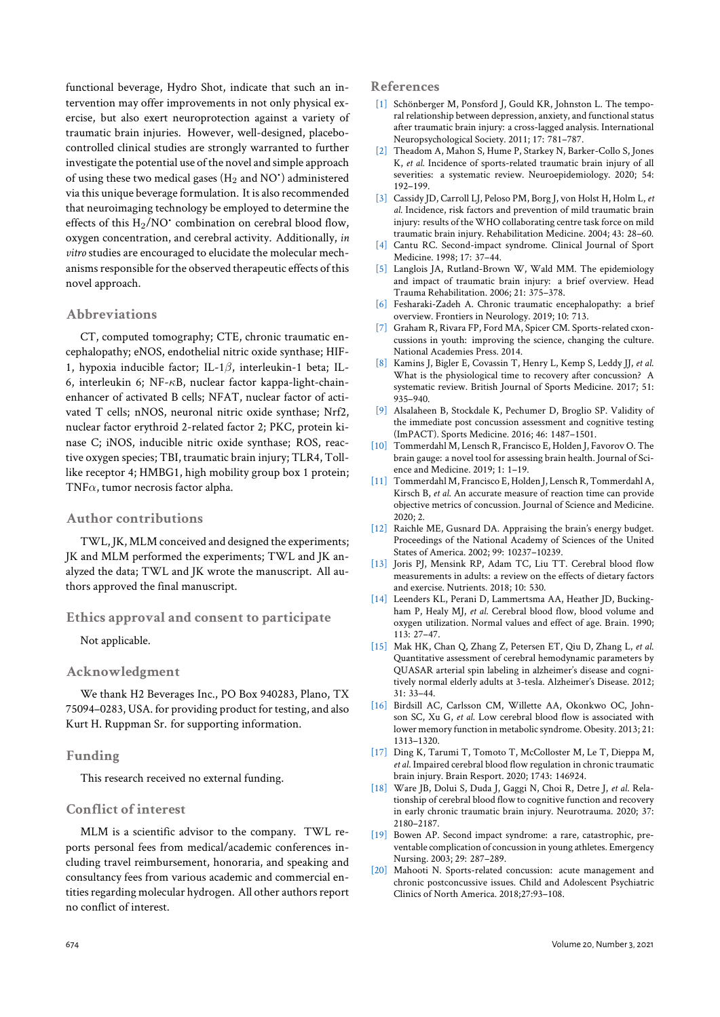functional beverage, Hydro Shot, indicate that such an intervention may offer improvements in not only physical exercise, but also exert neuroprotection against a variety of traumatic brain injuries. However, well-designed, placebocontrolled clinical studies are strongly warranted to further investigate the potential use of the novel and simple approach of using these two medical gases ( $\rm H_2$  and  $\rm NO^*$ ) administered via this unique beverage formulation. It is also recommended that neuroimaging technology be employed to determine the effects of this  $\rm H_2/NO^*$  combination on cerebral blood flow, oxygen concentration, and cerebral activity. Additionally, *in vitro* studies are encouraged to elucidate the molecular mechanisms responsible for the observed therapeutic effects of this novel approach.

### **Abbreviations**

CT, computed tomography; CTE, chronic traumatic encephalopathy; eNOS, endothelial nitric oxide synthase; HIF-1, hypoxia inducible factor; IL-1*β*, interleukin-1 beta; IL-6, interleukin 6; NF-*κ*B, nuclear factor kappa-light-chainenhancer of activated B cells; NFAT, nuclear factor of activated T cells; nNOS, neuronal nitric oxide synthase; Nrf2, nuclear factor erythroid 2-related factor 2; PKC, protein kinase C; iNOS, inducible nitric oxide synthase; ROS, reactive oxygen species; TBI, traumatic brain injury; TLR4, Tolllike receptor 4; HMBG1, high mobility group box 1 protein; TNF*α*, tumor necrosis factor alpha.

## **Author contributions**

TWL, JK, MLM conceived and designed the experiments; JK and MLM performed the experiments; TWL and JK analyzed the data; TWL and JK wrote the manuscript. All authors approved the final manuscript.

#### **Ethics approval and consent to participate**

Not applicable.

#### **Acknowledgment**

We thank H2 Beverages Inc., PO Box 940283, Plano, TX 75094–0283, USA. for providing product for testing, and also Kurt H. Ruppman Sr. for supporting information.

#### **Funding**

This research received no external funding.

## **Conflict of interest**

MLM is a scientific advisor to the company. TWL reports personal fees from medical/academic conferences including travel reimbursement, honoraria, and speaking and consultancy fees from various academic and commercial entities regarding molecular hydrogen. All other authors report no conflict of interest.

#### **References**

- [1] Schönberger M, Ponsford J, Gould KR, Johnston L. The temporal relationship between depression, anxiety, and functional status after traumatic brain injury: a cross-lagged analysis. International Neuropsychological Society. 2011; 17: 781–787.
- <span id="page-7-0"></span>[2] Theadom A, Mahon S, Hume P, Starkey N, Barker-Collo S, Jones K, *et al*. Incidence of sports-related traumatic brain injury of all severities: a systematic review. Neuroepidemiology. 2020; 54: 192–199.
- <span id="page-7-1"></span>[3] Cassidy JD, Carroll LJ, Peloso PM, Borg J, von Holst H, Holm L, *et al*. Incidence, risk factors and prevention of mild traumatic brain injury: results of the WHO collaborating centre task force on mild traumatic brain injury. Rehabilitation Medicine. 2004; 43: 28–60.
- <span id="page-7-2"></span>[4] Cantu RC. Second-impact syndrome. Clinical Journal of Sport Medicine. 1998; 17: 37–44.
- [5] Langlois JA, Rutland-Brown W, Wald MM. The epidemiology and impact of traumatic brain injury: a brief overview. Head Trauma Rehabilitation. 2006; 21: 375–378.
- <span id="page-7-3"></span>[6] Fesharaki-Zadeh A. Chronic traumatic encephalopathy: a brief overview. Frontiers in Neurology. 2019; 10: 713.
- <span id="page-7-4"></span>[7] Graham R, Rivara FP, Ford MA, Spicer CM. Sports-related cxoncussions in youth: improving the science, changing the culture. National Academies Press. 2014.
- <span id="page-7-6"></span><span id="page-7-5"></span>[8] Kamins J, Bigler E, Covassin T, Henry L, Kemp S, Leddy JJ, *et al*. What is the physiological time to recovery after concussion? A systematic review. British Journal of Sports Medicine. 2017; 51: 935–940.
- <span id="page-7-7"></span>[9] Alsalaheen B, Stockdale K, Pechumer D, Broglio SP. Validity of the immediate post concussion assessment and cognitive testing (ImPACT). Sports Medicine. 2016; 46: 1487–1501.
- [10] Tommerdahl M, Lensch R, Francisco E, Holden J, Favorov O. The brain gauge: a novel tool for assessing brain health. Journal of Science and Medicine. 2019; 1: 1–19.
- <span id="page-7-9"></span><span id="page-7-8"></span>[11] Tommerdahl M, Francisco E, Holden J, Lensch R, Tommerdahl A, Kirsch B, *et al*. An accurate measure of reaction time can provide objective metrics of concussion. Journal of Science and Medicine. 2020; 2.
- <span id="page-7-10"></span>[12] Raichle ME, Gusnard DA. Appraising the brain's energy budget. Proceedings of the National Academy of Sciences of the United States of America. 2002; 99: 10237–10239.
- [13] Joris PJ, Mensink RP, Adam TC, Liu TT. Cerebral blood flow measurements in adults: a review on the effects of dietary factors and exercise. Nutrients. 2018; 10: 530.
- <span id="page-7-12"></span><span id="page-7-11"></span>[14] Leenders KL, Perani D, Lammertsma AA, Heather JD, Buckingham P, Healy MJ, *et al*. Cerebral blood flow, blood volume and oxygen utilization. Normal values and effect of age. Brain. 1990; 113: 27–47.
- <span id="page-7-13"></span>[15] Mak HK, Chan Q, Zhang Z, Petersen ET, Qiu D, Zhang L, *et al*. Quantitative assessment of cerebral hemodynamic parameters by QUASAR arterial spin labeling in alzheimer's disease and cognitively normal elderly adults at 3-tesla. Alzheimer's Disease. 2012; 31: 33–44.
- <span id="page-7-14"></span>[16] Birdsill AC, Carlsson CM, Willette AA, Okonkwo OC, Johnson SC, Xu G, *et al*. Low cerebral blood flow is associated with lower memory function in metabolic syndrome. Obesity. 2013; 21: 1313–1320.
- <span id="page-7-15"></span>[17] Ding K, Tarumi T, Tomoto T, McColloster M, Le T, Dieppa M, *et al*. Impaired cerebral blood flow regulation in chronic traumatic brain injury. Brain Resport. 2020; 1743: 146924.
- <span id="page-7-16"></span>[18] Ware JB, Dolui S, Duda J, Gaggi N, Choi R, Detre J, *et al*. Relationship of cerebral blood flow to cognitive function and recovery in early chronic traumatic brain injury. Neurotrauma. 2020; 37: 2180–2187.
- <span id="page-7-17"></span>[19] Bowen AP. Second impact syndrome: a rare, catastrophic, preventable complication of concussion in young athletes. Emergency Nursing. 2003; 29: 287–289.
- <span id="page-7-19"></span><span id="page-7-18"></span>[20] Mahooti N. Sports-related concussion: acute management and chronic postconcussive issues. Child and Adolescent Psychiatric Clinics of North America. 2018;27:93–108.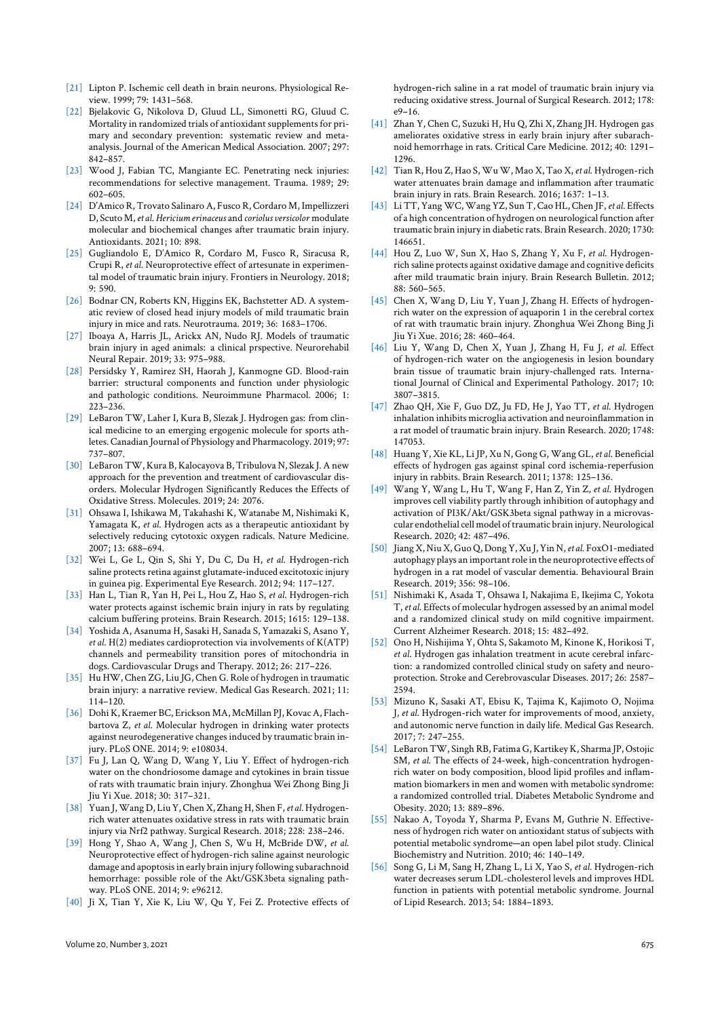- [21] Lipton P. Ischemic cell death in brain neurons. Physiological Review. 1999; 79: 1431–568.
- [22] Bjelakovic G, Nikolova D, Gluud LL, Simonetti RG, Gluud C. Mortality in randomized trials of antioxidant supplements for primary and secondary prevention: systematic review and metaanalysis. Journal of the American Medical Association. 2007; 297: 842–857.
- <span id="page-8-1"></span><span id="page-8-0"></span>[23] Wood J, Fabian TC, Mangiante EC. Penetrating neck injuries: recommendations for selective management. Trauma. 1989; 29: 602–605.
- <span id="page-8-2"></span>[24] D'Amico R, Trovato Salinaro A, Fusco R, Cordaro M, Impellizzeri D, Scuto M,*et al*. *Hericium erinaceus* and *coriolus versicolor* modulate molecular and biochemical changes after traumatic brain injury. Antioxidants. 2021; 10: 898.
- <span id="page-8-3"></span>[25] Gugliandolo E, D'Amico R, Cordaro M, Fusco R, Siracusa R, Crupi R, *et al*. Neuroprotective effect of artesunate in experimental model of traumatic brain injury. Frontiers in Neurology. 2018; 9: 590.
- [26] Bodnar CN, Roberts KN, Higgins EK, Bachstetter AD. A systematic review of closed head injury models of mild traumatic brain injury in mice and rats. Neurotrauma. 2019; 36: 1683–1706.
- [27] Iboaya A, Harris JL, Arickx AN, Nudo RJ. Models of traumatic brain injury in aged animals: a clinical prspective. Neurorehabil Neural Repair. 2019; 33: 975–988.
- <span id="page-8-5"></span><span id="page-8-4"></span>[28] Persidsky Y, Ramirez SH, Haorah J, Kanmogne GD. Blood-rain barrier: structural components and function under physiologic and pathologic conditions. Neuroimmune Pharmacol. 2006; 1: 223–236.
- <span id="page-8-6"></span>[29] LeBaron TW, Laher I, Kura B, Slezak J. Hydrogen gas: from clinical medicine to an emerging ergogenic molecule for sports athletes. Canadian Journal of Physiology and Pharmacology. 2019; 97: 737–807.
- <span id="page-8-7"></span>[30] LeBaron TW, Kura B, Kalocayova B, Tribulova N, Slezak J. A new approach for the prevention and treatment of cardiovascular disorders. Molecular Hydrogen Significantly Reduces the Effects of Oxidative Stress. Molecules. 2019; 24: 2076.
- <span id="page-8-8"></span>[31] Ohsawa I, Ishikawa M, Takahashi K, Watanabe M, Nishimaki K, Yamagata K, *et al*. Hydrogen acts as a therapeutic antioxidant by selectively reducing cytotoxic oxygen radicals. Nature Medicine. 2007; 13: 688–694.
- <span id="page-8-9"></span>[32] Wei L, Ge L, Qin S, Shi Y, Du C, Du H, *et al*. Hydrogen-rich saline protects retina against glutamate-induced excitotoxic injury in guinea pig. Experimental Eye Research. 2012; 94: 117–127.
- [33] Han L, Tian R, Yan H, Pei L, Hou Z, Hao S, *et al*. Hydrogen-rich water protects against ischemic brain injury in rats by regulating calcium buffering proteins. Brain Research. 2015; 1615: 129–138.
- <span id="page-8-11"></span><span id="page-8-10"></span>[34] Yoshida A, Asanuma H, Sasaki H, Sanada S, Yamazaki S, Asano Y, *et al*. H(2) mediates cardioprotection via involvements of K(ATP) channels and permeability transition pores of mitochondria in dogs. Cardiovascular Drugs and Therapy. 2012; 26: 217–226.
- <span id="page-8-12"></span>[35] Hu HW, Chen ZG, Liu JG, Chen G. Role of hydrogen in traumatic brain injury: a narrative review. Medical Gas Research. 2021; 11: 114–120.
- <span id="page-8-13"></span>[36] Dohi K, Kraemer BC, Erickson MA, McMillan PJ, Kovac A, Flachbartova Z, *et al*. Molecular hydrogen in drinking water protects against neurodegenerative changes induced by traumatic brain injury. PLoS ONE. 2014; 9: e108034.
- <span id="page-8-14"></span>[37] Fu J, Lan Q, Wang D, Wang Y, Liu Y. Effect of hydrogen-rich water on the chondriosome damage and cytokines in brain tissue of rats with traumatic brain injury. Zhonghua Wei Zhong Bing Ji Jiu Yi Xue. 2018; 30: 317–321.
- <span id="page-8-15"></span>[38] Yuan J,Wang D, Liu Y, Chen X, Zhang H, Shen F,*et al*. Hydrogenrich water attenuates oxidative stress in rats with traumatic brain injury via Nrf2 pathway. Surgical Research. 2018; 228: 238–246.
- <span id="page-8-16"></span>[39] Hong Y, Shao A, Wang J, Chen S, Wu H, McBride DW, *et al*. Neuroprotective effect of hydrogen-rich saline against neurologic damage and apoptosis in early brain injury following subarachnoid hemorrhage: possible role of the Akt/GSK3beta signaling pathway. PLoS ONE. 2014; 9: e96212.
- <span id="page-8-22"></span><span id="page-8-21"></span>[40] Ji X, Tian Y, Xie K, Liu W, Qu Y, Fei Z. Protective effects of

hydrogen-rich saline in a rat model of traumatic brain injury via reducing oxidative stress. Journal of Surgical Research. 2012; 178: e9–16.

- [41] Zhan Y, Chen C, Suzuki H, Hu Q, Zhi X, Zhang JH. Hydrogen gas ameliorates oxidative stress in early brain injury after subarachnoid hemorrhage in rats. Critical Care Medicine. 2012; 40: 1291– 1296.
- <span id="page-8-23"></span>[42] Tian R, Hou Z, Hao S, Wu W, Mao X, Tao X, *et al*. Hydrogen-rich water attenuates brain damage and inflammation after traumatic brain injury in rats. Brain Research. 2016; 1637: 1–13.
- <span id="page-8-27"></span>[43] Li TT, YangWC,Wang YZ, Sun T, Cao HL, Chen JF, *et al*. Effects of a high concentration of hydrogen on neurological function after traumatic brain injury in diabetic rats. Brain Research. 2020; 1730: 146651.
- <span id="page-8-24"></span>[44] Hou Z, Luo W, Sun X, Hao S, Zhang Y, Xu F, *et al*. Hydrogenrich saline protects against oxidative damage and cognitive deficits after mild traumatic brain injury. Brain Research Bulletin. 2012; 88: 560–565.
- <span id="page-8-25"></span>[45] Chen X, Wang D, Liu Y, Yuan J, Zhang H. Effects of hydrogenrich water on the expression of aquaporin 1 in the cerebral cortex of rat with traumatic brain injury. Zhonghua Wei Zhong Bing Ji Jiu Yi Xue. 2016; 28: 460–464.
- <span id="page-8-30"></span>[46] Liu Y, Wang D, Chen X, Yuan J, Zhang H, Fu J, *et al*. Effect of hydrogen-rich water on the angiogenesis in lesion boundary brain tissue of traumatic brain injury-challenged rats. International Journal of Clinical and Experimental Pathology. 2017; 10: 3807–3815.
- <span id="page-8-26"></span>[47] Zhao QH, Xie F, Guo DZ, Ju FD, He J, Yao TT, *et al*. Hydrogen inhalation inhibits microglia activation and neuroinflammation in a rat model of traumatic brain injury. Brain Research. 2020; 1748: 147053.
- <span id="page-8-28"></span>[48] Huang Y, Xie KL, Li JP, Xu N, Gong G, Wang GL, *et al*. Beneficial effects of hydrogen gas against spinal cord ischemia-reperfusion injury in rabbits. Brain Research. 2011; 1378: 125–136.
- <span id="page-8-29"></span>[49] Wang Y, Wang L, Hu T, Wang F, Han Z, Yin Z, *et al*. Hydrogen improves cell viability partly through inhibition of autophagy and activation of PI3K/Akt/GSK3beta signal pathway in a microvascular endothelial cell model of traumatic brain injury. Neurological Research. 2020; 42: 487–496.
- <span id="page-8-31"></span>[50] Jiang X, Niu X, Guo Q, Dong Y, Xu J, Yin N,*et al*. FoxO1-mediated autophagy plays an important role in the neuroprotective effects of hydrogen in a rat model of vascular dementia. Behavioural Brain Research. 2019; 356: 98–106.
- <span id="page-8-17"></span>[51] Nishimaki K, Asada T, Ohsawa I, Nakajima E, Ikejima C, Yokota T, *et al*. Effects of molecular hydrogen assessed by an animal model and a randomized clinical study on mild cognitive impairment. Current Alzheimer Research. 2018; 15: 482–492.
- <span id="page-8-18"></span>[52] Ono H, Nishijima Y, Ohta S, Sakamoto M, Kinone K, Horikosi T, *et al*. Hydrogen gas inhalation treatment in acute cerebral infarction: a randomized controlled clinical study on safety and neuroprotection. Stroke and Cerebrovascular Diseases. 2017; 26: 2587– 2594.
- <span id="page-8-19"></span>[53] Mizuno K, Sasaki AT, Ebisu K, Tajima K, Kajimoto O, Nojima J, *et al*. Hydrogen-rich water for improvements of mood, anxiety, and autonomic nerve function in daily life. Medical Gas Research. 2017; 7: 247–255.
- <span id="page-8-20"></span>[54] LeBaron TW, Singh RB, Fatima G, Kartikey K, Sharma JP, Ostojic SM, *et al*. The effects of 24-week, high-concentration hydrogenrich water on body composition, blood lipid profiles and inflammation biomarkers in men and women with metabolic syndrome: a randomized controlled trial. Diabetes Metabolic Syndrome and Obesity. 2020; 13: 889–896.
- [55] Nakao A, Toyoda Y, Sharma P, Evans M, Guthrie N. Effectiveness of hydrogen rich water on antioxidant status of subjects with potential metabolic syndrome—an open label pilot study. Clinical Biochemistry and Nutrition. 2010; 46: 140–149.
- [56] Song G, Li M, Sang H, Zhang L, Li X, Yao S, *et al*. Hydrogen-rich water decreases serum LDL-cholesterol levels and improves HDL function in patients with potential metabolic syndrome. Journal of Lipid Research. 2013; 54: 1884–1893.